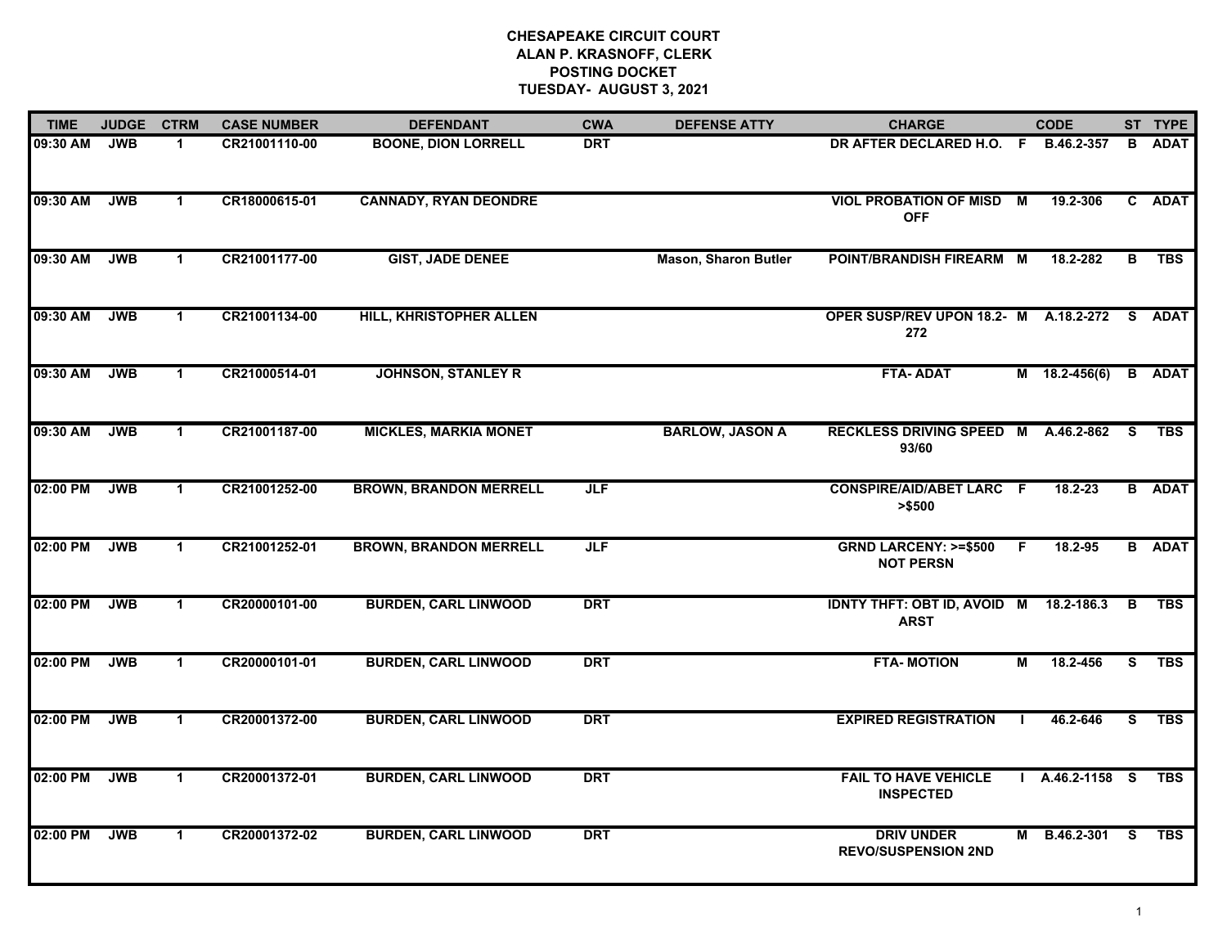| <b>TIME</b> | <b>JUDGE</b> | <b>CTRM</b>          | <b>CASE NUMBER</b> | <b>DEFENDANT</b>              | <b>CWA</b> | <b>DEFENSE ATTY</b>         | <b>CHARGE</b>                                       |              | <b>CODE</b>       |    | ST TYPE       |
|-------------|--------------|----------------------|--------------------|-------------------------------|------------|-----------------------------|-----------------------------------------------------|--------------|-------------------|----|---------------|
| 09:30 AM    | <b>JWB</b>   | -1                   | CR21001110-00      | <b>BOONE, DION LORRELL</b>    | <b>DRT</b> |                             | DR AFTER DECLARED H.O. F B.46.2-357                 |              |                   | B  | <b>ADAT</b>   |
| 09:30 AM    | <b>JWB</b>   | $\blacktriangleleft$ | CR18000615-01      | <b>CANNADY, RYAN DEONDRE</b>  |            |                             | <b>VIOL PROBATION OF MISD M</b><br><b>OFF</b>       |              | 19.2-306          |    | C ADAT        |
| 09:30 AM    | <b>JWB</b>   | $\mathbf{1}$         | CR21001177-00      | <b>GIST, JADE DENEE</b>       |            | <b>Mason, Sharon Butler</b> | POINT/BRANDISH FIREARM M                            |              | 18.2-282          | B  | <b>TBS</b>    |
| 09:30 AM    | <b>JWB</b>   | $\blacktriangleleft$ | CR21001134-00      | HILL, KHRISTOPHER ALLEN       |            |                             | OPER SUSP/REV UPON 18.2- M A.18.2-272<br>272        |              |                   |    | S ADAT        |
| 09:30 AM    | <b>JWB</b>   | $\mathbf{1}$         | CR21000514-01      | <b>JOHNSON, STANLEY R</b>     |            |                             | <b>FTA-ADAT</b>                                     |              | $M$ 18.2-456(6)   |    | <b>B</b> ADAT |
| 09:30 AM    | <b>JWB</b>   | $\mathbf{1}$         | CR21001187-00      | <b>MICKLES, MARKIA MONET</b>  |            | <b>BARLOW, JASON A</b>      | RECKLESS DRIVING SPEED M A.46.2-862 S<br>93/60      |              |                   |    | <b>TBS</b>    |
| 02:00 PM    | <b>JWB</b>   | $\blacktriangleleft$ | CR21001252-00      | <b>BROWN, BRANDON MERRELL</b> | JLF        |                             | <b>CONSPIRE/AID/ABET LARC F</b><br>> \$500          |              | $18.2 - 23$       |    | <b>B</b> ADAT |
| 02:00 PM    | <b>JWB</b>   | $\mathbf{1}$         | CR21001252-01      | <b>BROWN, BRANDON MERRELL</b> | JLF        |                             | <b>GRND LARCENY: &gt;=\$500</b><br><b>NOT PERSN</b> | F.           | 18.2-95           |    | <b>B</b> ADAT |
| 02:00 PM    | <b>JWB</b>   | $\mathbf 1$          | CR20000101-00      | <b>BURDEN, CARL LINWOOD</b>   | <b>DRT</b> |                             | <b>IDNTY THFT: OBT ID, AVOID M</b><br><b>ARST</b>   |              | 18.2-186.3        | B  | <b>TBS</b>    |
| 02:00 PM    | <b>JWB</b>   | $\blacktriangleleft$ | CR20000101-01      | <b>BURDEN, CARL LINWOOD</b>   | <b>DRT</b> |                             | <b>FTA-MOTION</b>                                   | М            | 18.2-456          | S. | <b>TBS</b>    |
| 02:00 PM    | <b>JWB</b>   | $\mathbf{1}$         | CR20001372-00      | <b>BURDEN, CARL LINWOOD</b>   | <b>DRT</b> |                             | <b>EXPIRED REGISTRATION</b>                         | $\mathbf{I}$ | 46.2-646          | S. | <b>TBS</b>    |
| 02:00 PM    | <b>JWB</b>   | $\mathbf{1}$         | CR20001372-01      | <b>BURDEN, CARL LINWOOD</b>   | <b>DRT</b> |                             | <b>FAIL TO HAVE VEHICLE</b><br><b>INSPECTED</b>     |              | $I$ A.46.2-1158 S |    | <b>TBS</b>    |
| 02:00 PM    | <b>JWB</b>   | $\mathbf{1}$         | CR20001372-02      | <b>BURDEN, CARL LINWOOD</b>   | <b>DRT</b> |                             | <b>DRIV UNDER</b><br><b>REVO/SUSPENSION 2ND</b>     | м            | B.46.2-301 S      |    | TBS           |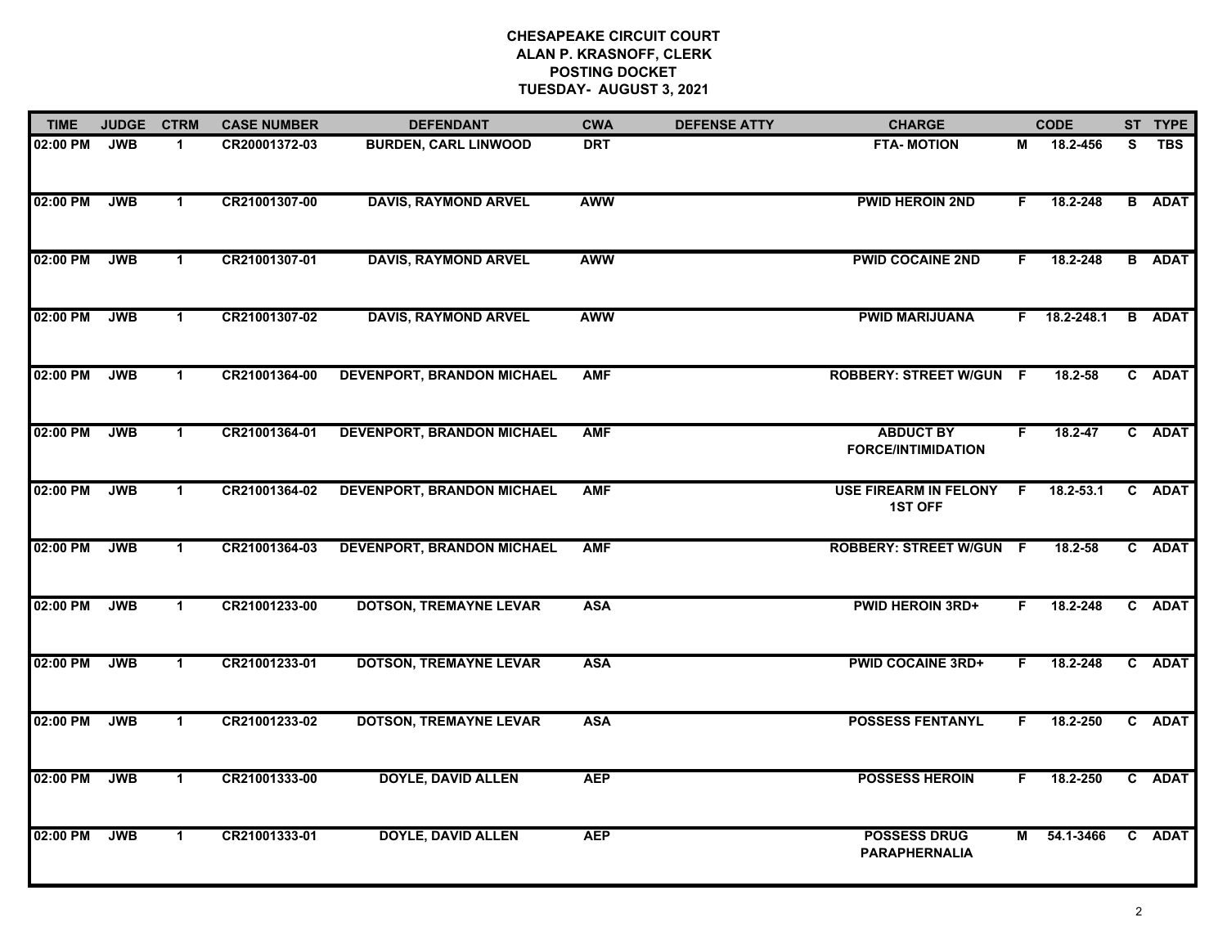| <b>TIME</b>  | <b>JUDGE</b> | <b>CTRM</b>          | <b>CASE NUMBER</b> | <b>DEFENDANT</b>                  | <b>CWA</b> | <b>DEFENSE ATTY</b> | <b>CHARGE</b>                                  |              | <b>CODE</b>    |    | ST TYPE       |
|--------------|--------------|----------------------|--------------------|-----------------------------------|------------|---------------------|------------------------------------------------|--------------|----------------|----|---------------|
| 02:00 PM     | <b>JWB</b>   | $\blacktriangleleft$ | CR20001372-03      | <b>BURDEN, CARL LINWOOD</b>       | <b>DRT</b> |                     | <b>FTA-MOTION</b>                              | М            | 18.2-456       | S. | TBS           |
| 02:00 PM     | <b>JWB</b>   | $\mathbf 1$          | CR21001307-00      | <b>DAVIS, RAYMOND ARVEL</b>       | <b>AWW</b> |                     | <b>PWID HEROIN 2ND</b>                         | F.           | 18.2-248       |    | <b>B</b> ADAT |
| 02:00 PM     | <b>JWB</b>   | $\mathbf{1}$         | CR21001307-01      | <b>DAVIS, RAYMOND ARVEL</b>       | <b>AWW</b> |                     | <b>PWID COCAINE 2ND</b>                        | F.           | 18.2-248       |    | <b>B</b> ADAT |
| 02:00 PM     | <b>JWB</b>   | $\mathbf{1}$         | CR21001307-02      | <b>DAVIS, RAYMOND ARVEL</b>       | <b>AWW</b> |                     | <b>PWID MARIJUANA</b>                          |              | $F$ 18.2-248.1 |    | <b>B</b> ADAT |
| 02:00 PM     | <b>JWB</b>   | $\mathbf{1}$         | CR21001364-00      | <b>DEVENPORT, BRANDON MICHAEL</b> | <b>AMF</b> |                     | <b>ROBBERY: STREET W/GUN F</b>                 |              | 18.2-58        |    | C ADAT        |
| 02:00 PM JWB |              | $\mathbf{1}$         | CR21001364-01      | <b>DEVENPORT, BRANDON MICHAEL</b> | <b>AMF</b> |                     | <b>ABDUCT BY</b><br><b>FORCE/INTIMIDATION</b>  | F.           | $18.2 - 47$    |    | C ADAT        |
| 02:00 PM     | <b>JWB</b>   | $\mathbf{1}$         | CR21001364-02      | <b>DEVENPORT, BRANDON MICHAEL</b> | <b>AMF</b> |                     | <b>USE FIREARM IN FELONY</b><br><b>1ST OFF</b> | $\mathsf{F}$ | $18.2 - 53.1$  |    | C ADAT        |
| 02:00 PM     | <b>JWB</b>   | $\mathbf{1}$         | CR21001364-03      | <b>DEVENPORT, BRANDON MICHAEL</b> | <b>AMF</b> |                     | <b>ROBBERY: STREET W/GUN F</b>                 |              | 18.2-58        |    | C ADAT        |
| 02:00 PM     | <b>JWB</b>   | $\mathbf 1$          | CR21001233-00      | <b>DOTSON, TREMAYNE LEVAR</b>     | <b>ASA</b> |                     | <b>PWID HEROIN 3RD+</b>                        | F.           | 18.2-248       |    | C ADAT        |
| 02:00 PM     | <b>JWB</b>   | $\mathbf{1}$         | CR21001233-01      | <b>DOTSON, TREMAYNE LEVAR</b>     | <b>ASA</b> |                     | <b>PWID COCAINE 3RD+</b>                       | F.           | 18.2-248       |    | C ADAT        |
| 02:00 PM     | <b>JWB</b>   | $\blacktriangleleft$ | CR21001233-02      | <b>DOTSON, TREMAYNE LEVAR</b>     | <b>ASA</b> |                     | <b>POSSESS FENTANYL</b>                        | F.           | 18.2-250       |    | C ADAT        |
| 02:00 PM     | <b>JWB</b>   | $\blacktriangleleft$ | CR21001333-00      | <b>DOYLE, DAVID ALLEN</b>         | <b>AEP</b> |                     | <b>POSSESS HEROIN</b>                          | F.           | 18.2-250       |    | C ADAT        |
| 02:00 PM     | <b>JWB</b>   | $\mathbf{1}$         | CR21001333-01      | <b>DOYLE, DAVID ALLEN</b>         | <b>AEP</b> |                     | <b>POSSESS DRUG</b><br><b>PARAPHERNALIA</b>    | М            | 54.1-3466      |    | C ADAT        |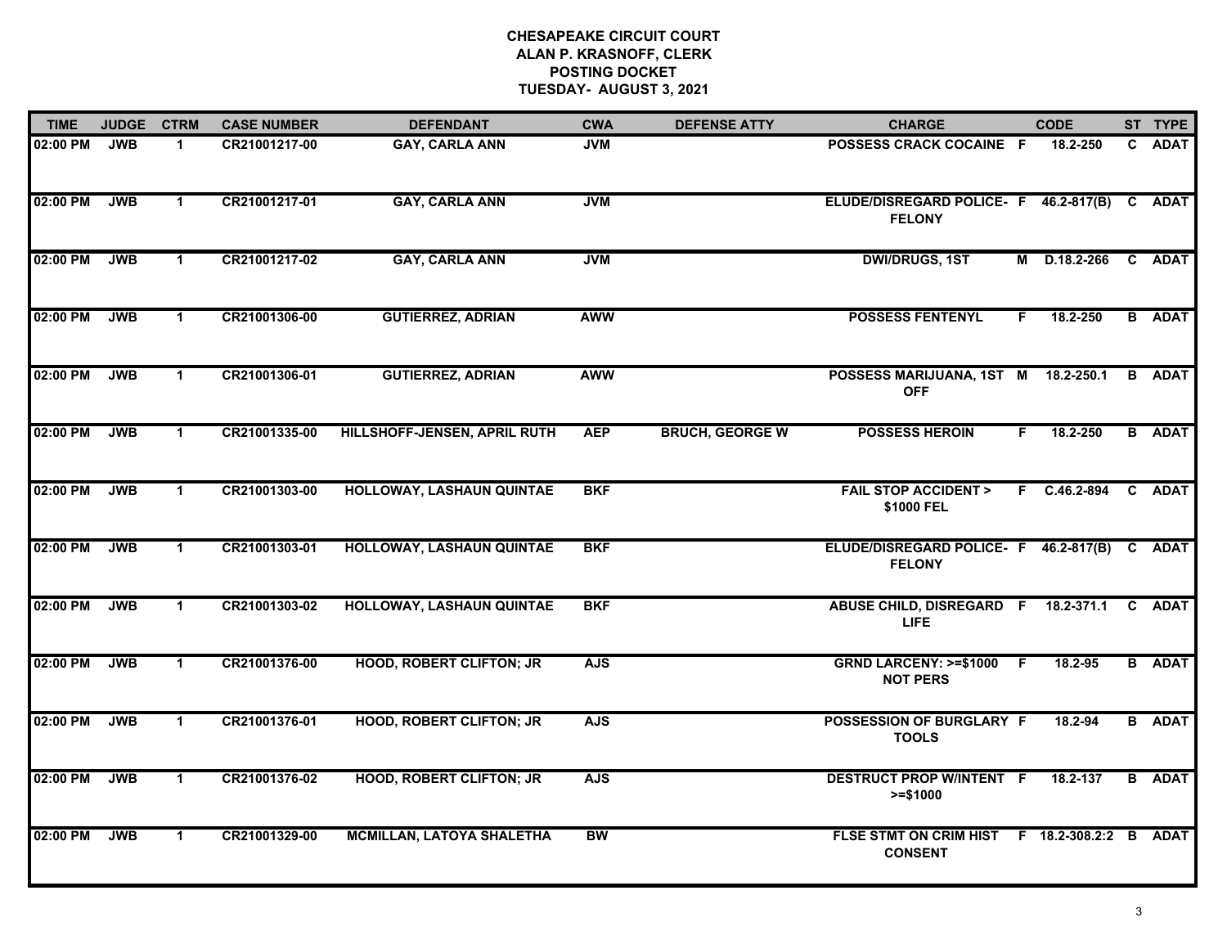| <b>TIME</b> | <b>JUDGE</b> | <b>CTRM</b>          | <b>CASE NUMBER</b> | <b>DEFENDANT</b>                 | <b>CWA</b> | <b>DEFENSE ATTY</b>    | <b>CHARGE</b>                                                  |    | <b>CODE</b>    | ST TYPE       |
|-------------|--------------|----------------------|--------------------|----------------------------------|------------|------------------------|----------------------------------------------------------------|----|----------------|---------------|
| 02:00 PM    | <b>JWB</b>   | $\blacktriangleleft$ | CR21001217-00      | <b>GAY, CARLA ANN</b>            | <b>JVM</b> |                        | POSSESS CRACK COCAINE F                                        |    | 18.2-250       | C ADAT        |
| 02:00 PM    | <b>JWB</b>   | $\mathbf{1}$         | CR21001217-01      | <b>GAY, CARLA ANN</b>            | <b>JVM</b> |                        | ELUDE/DISREGARD POLICE- F 46.2-817(B) C ADAT<br><b>FELONY</b>  |    |                |               |
| 02:00 PM    | <b>JWB</b>   | $\mathbf{1}$         | CR21001217-02      | <b>GAY, CARLA ANN</b>            | <b>JVM</b> |                        | <b>DWI/DRUGS, 1ST</b>                                          | M  | D.18.2-266     | C ADAT        |
| 02:00 PM    | <b>JWB</b>   | $\mathbf{1}$         | CR21001306-00      | <b>GUTIERREZ, ADRIAN</b>         | <b>AWW</b> |                        | <b>POSSESS FENTENYL</b>                                        | F. | 18.2-250       | <b>B</b> ADAT |
| 02:00 PM    | <b>JWB</b>   | $\blacktriangleleft$ | CR21001306-01      | <b>GUTIERREZ, ADRIAN</b>         | <b>AWW</b> |                        | POSSESS MARIJUANA, 1ST M 18.2-250.1<br><b>OFF</b>              |    |                | <b>B</b> ADAT |
| 02:00 PM    | <b>JWB</b>   | $\mathbf{1}$         | CR21001335-00      | HILLSHOFF-JENSEN, APRIL RUTH     | <b>AEP</b> | <b>BRUCH, GEORGE W</b> | <b>POSSESS HEROIN</b>                                          | F. | 18.2-250       | <b>B</b> ADAT |
| 02:00 PM    | <b>JWB</b>   | $\mathbf{1}$         | CR21001303-00      | HOLLOWAY, LASHAUN QUINTAE        | <b>BKF</b> |                        | <b>FAIL STOP ACCIDENT &gt;</b><br>\$1000 FEL                   |    | $F$ C.46.2-894 | C ADAT        |
| 02:00 PM    | <b>JWB</b>   | $\mathbf 1$          | CR21001303-01      | HOLLOWAY, LASHAUN QUINTAE        | <b>BKF</b> |                        | ELUDE/DISREGARD POLICE- F 46.2-817(B)<br><b>FELONY</b>         |    |                | C ADAT        |
| 02:00 PM    | <b>JWB</b>   | $\blacktriangleleft$ | CR21001303-02      | HOLLOWAY, LASHAUN QUINTAE        | <b>BKF</b> |                        | ABUSE CHILD, DISREGARD F 18.2-371.1 C ADAT<br><b>LIFE</b>      |    |                |               |
| 02:00 PM    | <b>JWB</b>   | $\blacktriangleleft$ | CR21001376-00      | <b>HOOD, ROBERT CLIFTON; JR</b>  | <b>AJS</b> |                        | GRND LARCENY: >=\$1000 F<br><b>NOT PERS</b>                    |    | 18.2-95        | <b>B</b> ADAT |
| 02:00 PM    | <b>JWB</b>   | $\mathbf 1$          | CR21001376-01      | <b>HOOD, ROBERT CLIFTON; JR</b>  | <b>AJS</b> |                        | POSSESSION OF BURGLARY F<br><b>TOOLS</b>                       |    | 18.2-94        | <b>B</b> ADAT |
| 02:00 PM    | <b>JWB</b>   | $\mathbf{1}$         | CR21001376-02      | <b>HOOD, ROBERT CLIFTON; JR</b>  | <b>AJS</b> |                        | <b>DESTRUCT PROP W/INTENT F</b><br>$>= $1000$                  |    | 18.2-137       | <b>B</b> ADAT |
| 02:00 PM    | <b>JWB</b>   | $\blacktriangleleft$ | CR21001329-00      | <b>MCMILLAN, LATOYA SHALETHA</b> | <b>BW</b>  |                        | FLSE STMT ON CRIM HIST F 18.2-308.2:2 B ADAT<br><b>CONSENT</b> |    |                |               |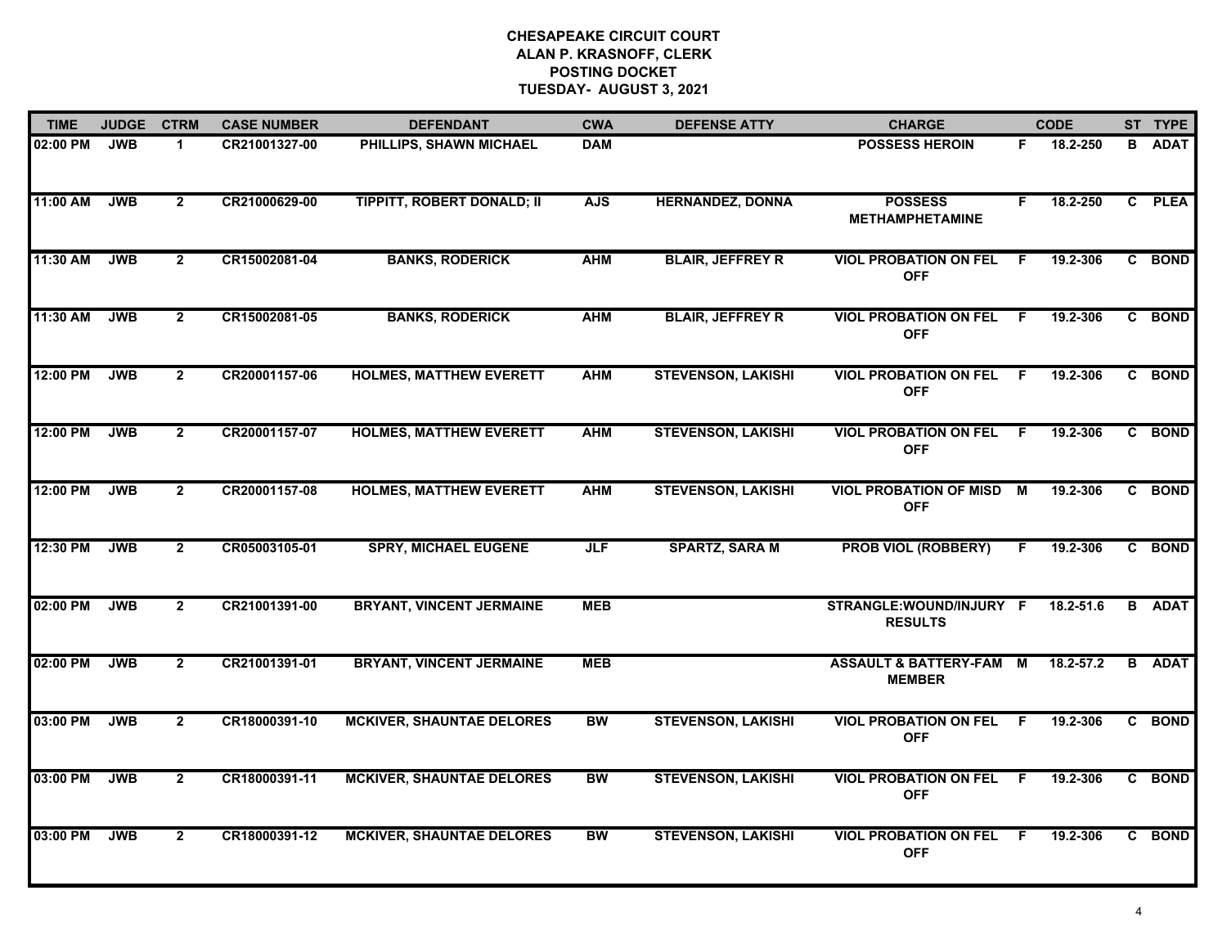| <b>TIME</b> | <b>JUDGE</b> | <b>CTRM</b>    | <b>CASE NUMBER</b> | <b>DEFENDANT</b>                  | <b>CWA</b> | <b>DEFENSE ATTY</b>       | <b>CHARGE</b>                                     |     | <b>CODE</b> |    | ST TYPE       |
|-------------|--------------|----------------|--------------------|-----------------------------------|------------|---------------------------|---------------------------------------------------|-----|-------------|----|---------------|
| 02:00 PM    | <b>JWB</b>   | 1              | CR21001327-00      | PHILLIPS, SHAWN MICHAEL           | <b>DAM</b> |                           | <b>POSSESS HEROIN</b>                             | F.  | 18.2-250    | B. | <b>ADAT</b>   |
| 11:00 AM    | <b>JWB</b>   | $\overline{2}$ | CR21000629-00      | <b>TIPPITT, ROBERT DONALD; II</b> | <b>AJS</b> | <b>HERNANDEZ, DONNA</b>   | <b>POSSESS</b><br><b>METHAMPHETAMINE</b>          | F.  | 18.2-250    |    | C PLEA        |
| 11:30 AM    | <b>JWB</b>   | $\mathbf{2}$   | CR15002081-04      | <b>BANKS, RODERICK</b>            | <b>AHM</b> | <b>BLAIR, JEFFREY R</b>   | <b>VIOL PROBATION ON FEL</b><br><b>OFF</b>        | -F  | 19.2-306    |    | C BOND        |
| 11:30 AM    | <b>JWB</b>   | $\mathbf{2}$   | CR15002081-05      | <b>BANKS, RODERICK</b>            | <b>AHM</b> | <b>BLAIR, JEFFREY R</b>   | <b>VIOL PROBATION ON FEL</b><br><b>OFF</b>        | - F | 19.2-306    |    | C BOND        |
| 12:00 PM    | <b>JWB</b>   | $\overline{2}$ | CR20001157-06      | <b>HOLMES, MATTHEW EVERETT</b>    | <b>AHM</b> | <b>STEVENSON, LAKISHI</b> | <b>VIOL PROBATION ON FEL</b><br><b>OFF</b>        | F.  | 19.2-306    |    | C BOND        |
| 12:00 PM    | <b>JWB</b>   | $\overline{2}$ | CR20001157-07      | <b>HOLMES, MATTHEW EVERETT</b>    | <b>AHM</b> | <b>STEVENSON, LAKISHI</b> | <b>VIOL PROBATION ON FEL</b><br><b>OFF</b>        | -F  | 19.2-306    |    | C BOND        |
| 12:00 PM    | <b>JWB</b>   | $\overline{2}$ | CR20001157-08      | <b>HOLMES, MATTHEW EVERETT</b>    | <b>AHM</b> | <b>STEVENSON, LAKISHI</b> | <b>VIOL PROBATION OF MISD M</b><br><b>OFF</b>     |     | 19.2-306    |    | C BOND        |
| 12:30 PM    | <b>JWB</b>   | $\overline{2}$ | CR05003105-01      | <b>SPRY, MICHAEL EUGENE</b>       | <b>JLF</b> | <b>SPARTZ, SARA M</b>     | <b>PROB VIOL (ROBBERY)</b>                        | F.  | 19.2-306    |    | C BOND        |
| 02:00 PM    | <b>JWB</b>   | $\overline{2}$ | CR21001391-00      | <b>BRYANT, VINCENT JERMAINE</b>   | <b>MEB</b> |                           | STRANGLE:WOUND/INJURY F<br><b>RESULTS</b>         |     | 18.2-51.6   |    | <b>B</b> ADAT |
| 02:00 PM    | <b>JWB</b>   | $\overline{2}$ | CR21001391-01      | <b>BRYANT, VINCENT JERMAINE</b>   | <b>MEB</b> |                           | <b>ASSAULT &amp; BATTERY-FAM</b><br><b>MEMBER</b> | M   | 18.2-57.2   |    | <b>B</b> ADAT |
| 03:00 PM    | <b>JWB</b>   | $\mathbf{2}$   | CR18000391-10      | <b>MCKIVER, SHAUNTAE DELORES</b>  | <b>BW</b>  | <b>STEVENSON, LAKISHI</b> | <b>VIOL PROBATION ON FEL</b><br><b>OFF</b>        | F.  | 19.2-306    |    | C BOND        |
| 03:00 PM    | <b>JWB</b>   | $\overline{2}$ | CR18000391-11      | <b>MCKIVER, SHAUNTAE DELORES</b>  | BW         | <b>STEVENSON, LAKISHI</b> | <b>VIOL PROBATION ON FEL</b><br><b>OFF</b>        | F.  | 19.2-306    |    | C BOND        |
| 03:00 PM    | <b>JWB</b>   | $\overline{2}$ | CR18000391-12      | <b>MCKIVER, SHAUNTAE DELORES</b>  | <b>BW</b>  | <b>STEVENSON, LAKISHI</b> | <b>VIOL PROBATION ON FEL</b><br><b>OFF</b>        | - F | 19.2-306    |    | C BOND        |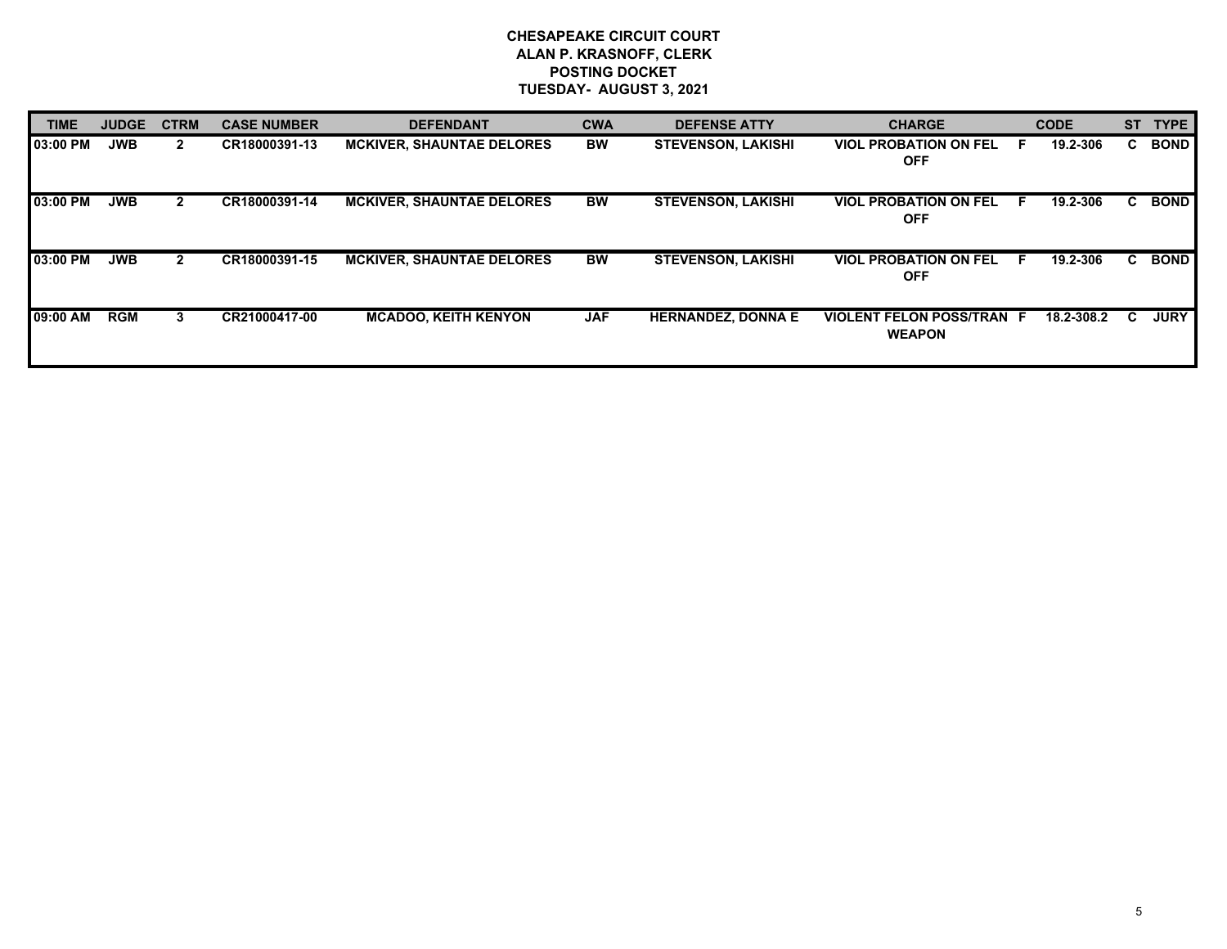| <b>TIME</b> | <b>JUDGE</b> | <b>CTRM</b>    | <b>CASE NUMBER</b> | <b>DEFENDANT</b>                 | <b>CWA</b> | <b>DEFENSE ATTY</b>       | <b>CHARGE</b>                                     |   | <b>CODE</b> | <b>ST</b> | <b>TYPE</b> |
|-------------|--------------|----------------|--------------------|----------------------------------|------------|---------------------------|---------------------------------------------------|---|-------------|-----------|-------------|
| 03:00 PM    | <b>JWB</b>   | $\mathbf{2}$   | CR18000391-13      | <b>MCKIVER, SHAUNTAE DELORES</b> | <b>BW</b>  | <b>STEVENSON, LAKISHI</b> | <b>VIOL PROBATION ON FEL</b><br><b>OFF</b>        | E | 19.2-306    | C.        | <b>BOND</b> |
| 03:00 PM    | <b>JWB</b>   | $\overline{2}$ | CR18000391-14      | <b>MCKIVER, SHAUNTAE DELORES</b> | <b>BW</b>  | <b>STEVENSON, LAKISHI</b> | <b>VIOL PROBATION ON FEL</b><br><b>OFF</b>        | E | 19.2-306    | C.        | <b>BOND</b> |
| 03:00 PM    | <b>JWB</b>   | 2.             | CR18000391-15      | <b>MCKIVER, SHAUNTAE DELORES</b> | <b>BW</b>  | <b>STEVENSON, LAKISHI</b> | <b>VIOL PROBATION ON FEL</b><br><b>OFF</b>        | E | 19.2-306    | C.        | <b>BOND</b> |
| 09:00 AM    | <b>RGM</b>   | 3              | CR21000417-00      | <b>MCADOO, KEITH KENYON</b>      | <b>JAF</b> | <b>HERNANDEZ, DONNA E</b> | <b>VIOLENT FELON POSS/TRAN F</b><br><b>WEAPON</b> |   | 18.2-308.2  | C         | <b>JURY</b> |